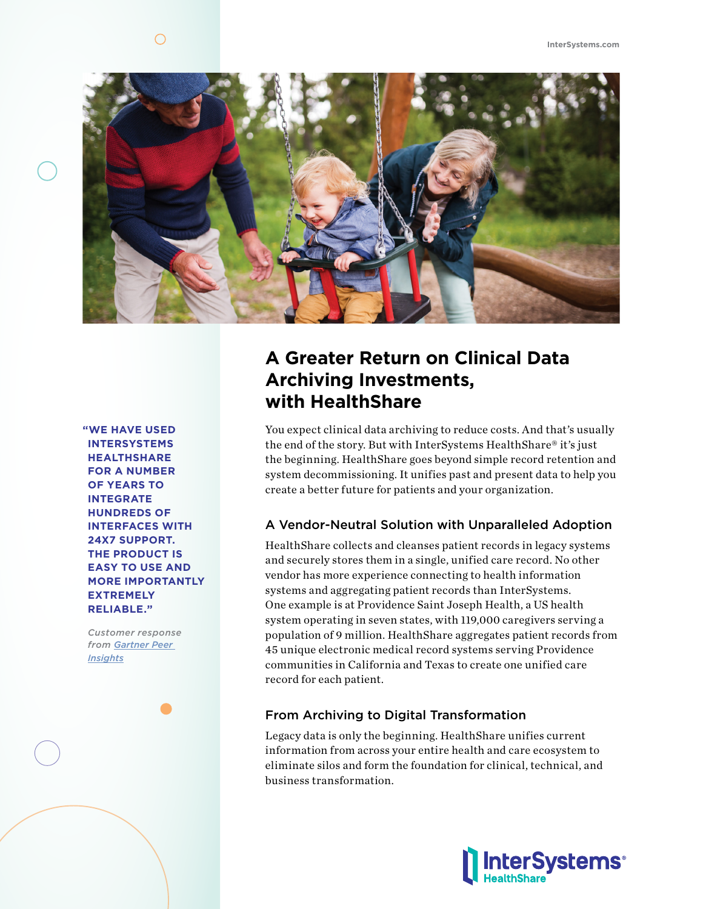

**"WE HAVE USED INTERSYSTEMS HEALTHSHARE FOR A NUMBER OF YEARS TO INTEGRATE HUNDREDS OF INTERFACES WITH 24X7 SUPPORT. THE PRODUCT IS EASY TO USE AND MORE IMPORTANTLY EXTREMELY RELIABLE."** 

*Customer response from Gartner Peer Insights*

## **A Greater Return on Clinical Data Archiving Investments, with HealthShare**

You expect clinical data archiving to reduce costs. And that's usually the end of the story. But with InterSystems HealthShare® it's just the beginning. HealthShare goes beyond simple record retention and system decommissioning. It unifies past and present data to help you create a better future for patients and your organization.

#### A Vendor-Neutral Solution with Unparalleled Adoption

HealthShare collects and cleanses patient records in legacy systems and securely stores them in a single, unified care record. No other vendor has more experience connecting to health information systems and aggregating patient records than InterSystems. One example is at Providence Saint Joseph Health, a US health system operating in seven states, with 119,000 caregivers serving a population of 9 million. HealthShare aggregates patient records from 45 unique electronic medical record systems serving Providence communities in California and Texas to create one unified care record for each patient.

#### From Archiving to Digital Transformation

Legacy data is only the beginning. HealthShare unifies current information from across your entire health and care ecosystem to eliminate silos and form the foundation for clinical, technical, and business transformation.